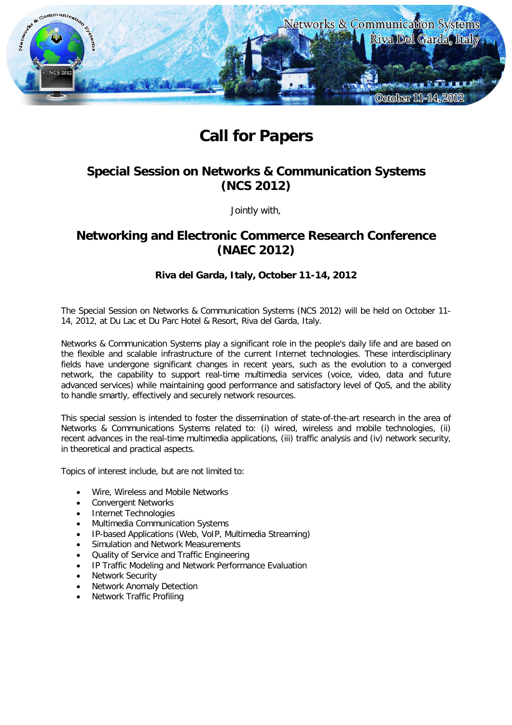

# **Call for Papers**

## **Special Session on Networks & Communication Systems (NCS 2012)**

Jointly with,

## **Networking and Electronic Commerce Research Conference (NAEC 2012)**

### **Riva del Garda, Italy, October 11-14, 2012**

The Special Session on Networks & Communication Systems (NCS 2012) will be held on October 11- 14, 2012, at Du Lac et Du Parc Hotel & Resort, Riva del Garda, Italy.

Networks & Communication Systems play a significant role in the people's daily life and are based on the flexible and scalable infrastructure of the current Internet technologies. These interdisciplinary fields have undergone significant changes in recent years, such as the evolution to a converged network, the capability to support real-time multimedia services (voice, video, data and future advanced services) while maintaining good performance and satisfactory level of QoS, and the ability to handle smartly, effectively and securely network resources.

This special session is intended to foster the dissemination of state-of-the-art research in the area of Networks & Communications Systems related to: (i) wired, wireless and mobile technologies, (ii) recent advances in the real-time multimedia applications, (iii) traffic analysis and (iv) network security, in theoretical and practical aspects.

Topics of interest include, but are not limited to:

- Wire, Wireless and Mobile Networks
- Convergent Networks
- Internet Technologies
- Multimedia Communication Systems
- IP-based Applications (Web, VoIP, Multimedia Streaming)
- Simulation and Network Measurements
- Quality of Service and Traffic Engineering
- IP Traffic Modeling and Network Performance Evaluation
- Network Security
- Network Anomaly Detection
- Network Traffic Profiling